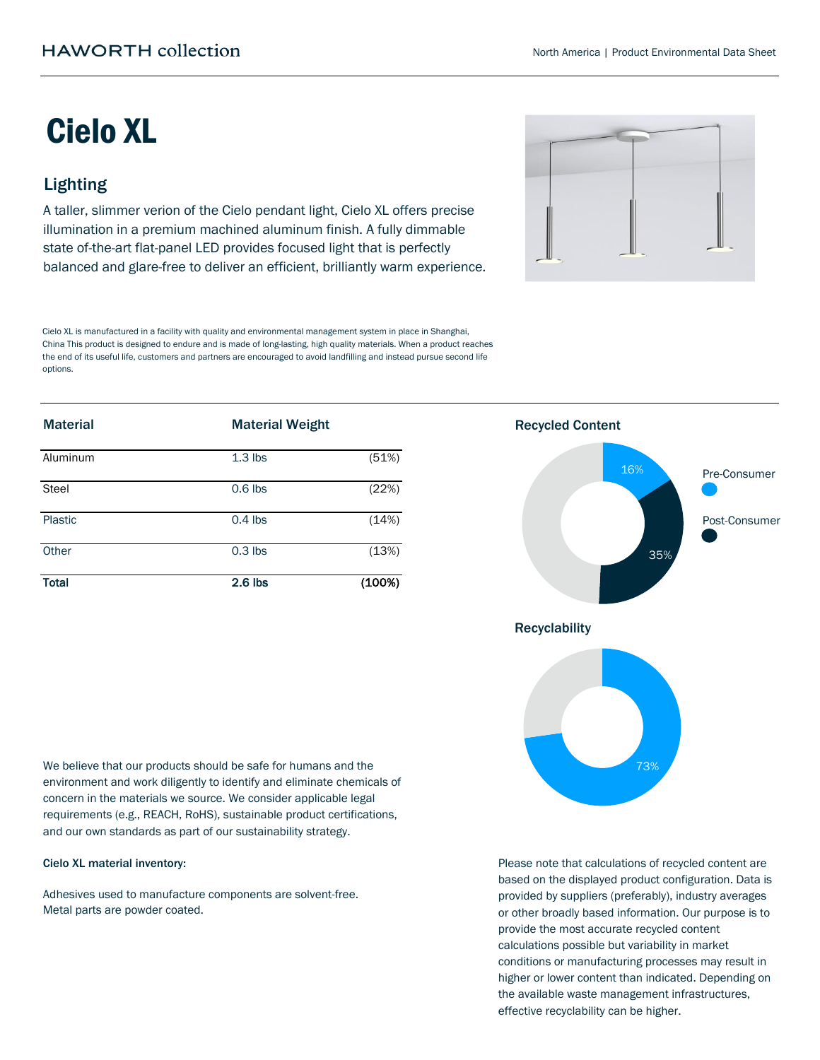# Cielo XL

# Lighting

A taller, slimmer verion of the Cielo pendant light, Cielo XL offers precise illumination in a premium machined aluminum finish. A fully dimmable state of-the-art flat-panel LED provides focused light that is perfectly balanced and glare-free to deliver an efficient, brilliantly warm experience.



Cielo XL is manufactured in a facility with quality and environmental management system in place in Shanghai, China This product is designed to endure and is made of long-lasting, high quality materials. When a product reaches the end of its useful life, customers and partners are encouraged to avoid landfilling and instead pursue second life options.

| <b>Material</b> | <b>Material Weight</b> |        |
|-----------------|------------------------|--------|
| Aluminum        | $1.3$ lbs              | (51%)  |
| <b>Steel</b>    | $0.6$ lbs              | (22%)  |
| Plastic         | $0.4$ lbs              | (14%)  |
| Other           | $0.3$ lbs              | (13%)  |
| <b>Total</b>    | $2.6$ lbs              | (100%) |

We believe that our products should be safe for humans and the environment and work diligently to identify and eliminate chemicals of concern in the materials we source. We consider applicable legal requirements (e.g., REACH, RoHS), sustainable product certifications, and our own standards as part of our sustainability strategy.

#### Cielo XL material inventory:

Adhesives used to manufacture components are solvent-free. Metal parts are powder coated.



Please note that calculations of recycled content are based on the displayed product configuration. Data is provided by suppliers (preferably), industry averages or other broadly based information. Our purpose is to provide the most accurate recycled content calculations possible but variability in market conditions or manufacturing processes may result in higher or lower content than indicated. Depending on the available waste management infrastructures, effective recyclability can be higher.